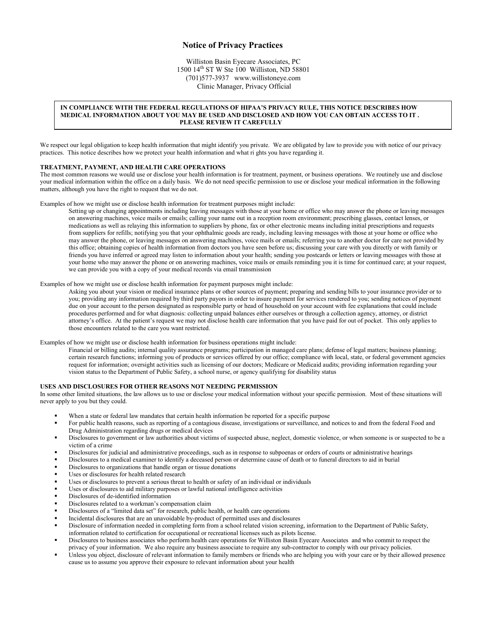## **Notice of Privacy Practices**

Williston Basin Eyecare Associates, PC  $1500$   $14<sup>th</sup>$  ST W Ste 100 Williston, ND 58801 (701)577-3937 www.willistoneye.com Clinic Manager, Privacy Official

# **IN COMPLIANCE WITH THE FEDERAL REGULATIONS OF HIPAA'S PRIVACY RULE, THIS NOTICE DESCRIBES HOW MEDICAL INFORMATION ABOUT YOU MAY BE USED AND DISCLOSED AND HOW YOU CAN OBTAIN ACCESS TO IT . PLEASE REVIEW IT CAREFULLY**

We respect our legal obligation to keep health information that might identify you private. We are obligated by law to provide you with notice of our privacy practices. This notice describes how we protect your health information and what ri ghts you have regarding it.

#### **TREATMENT, PAYMENT, AND HEALTH CARE OPERATIONS**

The most common reasons we would use or disclose your health information is for treatment, payment, or business operations. We routinely use and disclose your medical information within the office on a daily basis. We do not need specific permission to use or disclose your medical information in the following matters, although you have the right to request that we do not.

Examples of how we might use or disclose health information for treatment purposes might include:

Setting up or changing appointments including leaving messages with those at your home or office who may answer the phone or leaving messages on answering machines, voice mails or emails; calling your name out in a reception room environment; prescribing glasses, contact lenses, or medications as well as relaying this information to suppliers by phone, fax or other electronic means including initial prescriptions and requests from suppliers for refills; notifying you that your ophthalmic goods are ready, including leaving messages with those at your home or office who may answer the phone, or leaving messages on answering machines, voice mails or emails; referring you to another doctor for care not provided by this office; obtaining copies of health information from doctors you have seen before us; discussing your care with you directly or with family or friends you have inferred or agreed may listen to information about your health; sending you postcards or letters or leaving messages with those at your home who may answer the phone or on answering machines, voice mails or emails reminding you it is time for continued care; at your request, we can provide you with a copy of your medical records via email transmission

Examples of how we might use or disclose health information for payment purposes might include:

Asking you about your vision or medical insurance plans or other sources of payment; preparing and sending bills to your insurance provider or to you; providing any information required by third party payors in order to insure payment for services rendered to you; sending notices of payment due on your account to the person designated as responsible party or head of household on your account with fee explanations that could include procedures performed and for what diagnosis: collecting unpaid balances either ourselves or through a collection agency, attorney, or district attorney's office. At the patient's request we may not disclose health care information that you have paid for out of pocket. This only applies to those encounters related to the care you want restricted.

Examples of how we might use or disclose health information for business operations might include:

Financial or billing audits; internal quality assurance programs; participation in managed care plans; defense of legal matters; business planning; certain research functions; informing you of products or services offered by our office; compliance with local, state, or federal government agencies request for information; oversight activities such as licensing of our doctors; Medicare or Medicaid audits; providing information regarding your vision status to the Department of Public Safety, a school nurse, or agency qualifying for disability status

#### **USES AND DISCLOSURES FOR OTHER REASONS NOT NEEDING PERMISSION**

In some other limited situations, the law allows us to use or disclose your medical information without your specific permission. Most of these situations will never apply to you but they could.

- When a state or federal law mandates that certain health information be reported for a specific purpose
- For public health reasons, such as reporting of a contagious disease, investigations or surveillance, and notices to and from the federal Food and Drug Administration regarding drugs or medical devices
- Disclosures to government or law authorities about victims of suspected abuse, neglect, domestic violence, or when someone is or suspected to be a victim of a crime
- Disclosures for judicial and administrative proceedings, such as in response to subpoenas or orders of courts or administrative hearings
- Disclosures to a medical examiner to identify a deceased person or determine cause of death or to funeral directors to aid in burial
- Disclosures to organizations that handle organ or tissue donations
- Uses or disclosures for health related research
- Uses or disclosures to prevent a serious threat to health or safety of an individual or individuals
- Uses or disclosures to aid military purposes or lawful national intelligence activities
- Disclosures of de-identified information
- Disclosures related to a workman's compensation claim
- Disclosures of a "limited data set" for research, public health, or health care operations
- Incidental disclosures that are an unavoidable by-product of permitted uses and disclosures
- Disclosure of information needed in completing form from a school related vision screening, information to the Department of Public Safety, information related to certification for occupational or recreational licenses such as pilots license.
- Disclosures to business associates who perform health care operations for Williston Basin Eyecare Associates and who commit to respect the privacy of your information. We also require any business associate to require any sub-contractor to comply with our privacy policies.
- Unless you object, disclosure of relevant information to family members or friends who are helping you with your care or by their allowed presence cause us to assume you approve their exposure to relevant information about your health